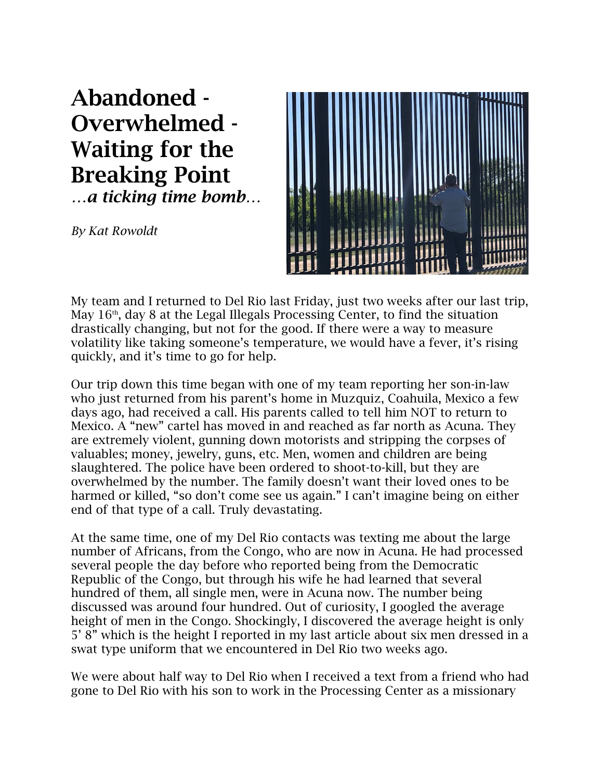Abandoned - Overwhelmed - Waiting for the Breaking Point *…a ticking time bomb…*

*By Kat Rowoldt*



My team and I returned to Del Rio last Friday, just two weeks after our last trip, May  $16<sup>th</sup>$ , day 8 at the Legal Illegals Processing Center, to find the situation drastically changing, but not for the good. If there were a way to measure volatility like taking someone's temperature, we would have a fever, it's rising quickly, and it's time to go for help.

Our trip down this time began with one of my team reporting her son-in-law who just returned from his parent's home in Muzquiz, Coahuila, Mexico a few days ago, had received a call. His parents called to tell him NOT to return to Mexico. A "new" cartel has moved in and reached as far north as Acuna. They are extremely violent, gunning down motorists and stripping the corpses of valuables; money, jewelry, guns, etc. Men, women and children are being slaughtered. The police have been ordered to shoot-to-kill, but they are overwhelmed by the number. The family doesn't want their loved ones to be harmed or killed, "so don't come see us again." I can't imagine being on either end of that type of a call. Truly devastating.

At the same time, one of my Del Rio contacts was texting me about the large number of Africans, from the Congo, who are now in Acuna. He had processed several people the day before who reported being from the Democratic Republic of the Congo, but through his wife he had learned that several hundred of them, all single men, were in Acuna now. The number being discussed was around four hundred. Out of curiosity, I googled the average height of men in the Congo. Shockingly, I discovered the average height is only 5' 8" which is the height I reported in my last article about six men dressed in a swat type uniform that we encountered in Del Rio two weeks ago.

We were about half way to Del Rio when I received a text from a friend who had gone to Del Rio with his son to work in the Processing Center as a missionary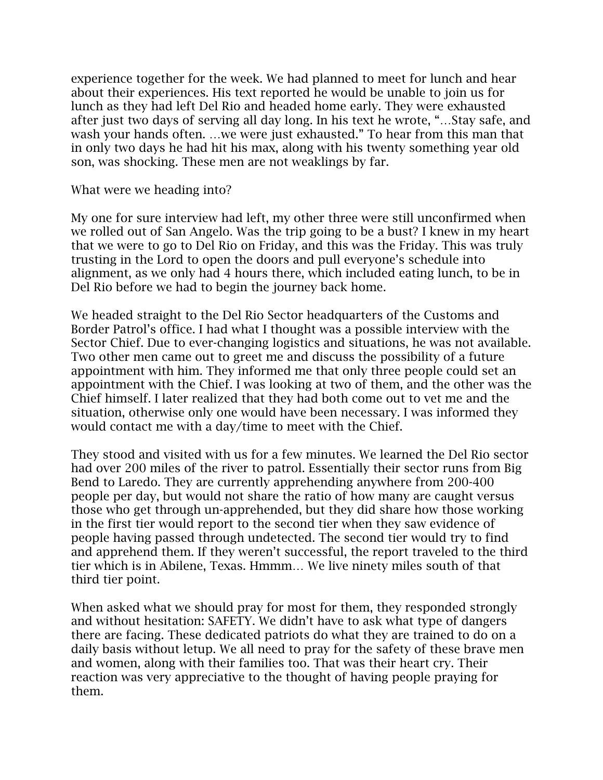experience together for the week. We had planned to meet for lunch and hear about their experiences. His text reported he would be unable to join us for lunch as they had left Del Rio and headed home early. They were exhausted after just two days of serving all day long. In his text he wrote, "…Stay safe, and wash your hands often. …we were just exhausted." To hear from this man that in only two days he had hit his max, along with his twenty something year old son, was shocking. These men are not weaklings by far.

What were we heading into?

My one for sure interview had left, my other three were still unconfirmed when we rolled out of San Angelo. Was the trip going to be a bust? I knew in my heart that we were to go to Del Rio on Friday, and this was the Friday. This was truly trusting in the Lord to open the doors and pull everyone's schedule into alignment, as we only had 4 hours there, which included eating lunch, to be in Del Rio before we had to begin the journey back home.

We headed straight to the Del Rio Sector headquarters of the Customs and Border Patrol's office. I had what I thought was a possible interview with the Sector Chief. Due to ever-changing logistics and situations, he was not available. Two other men came out to greet me and discuss the possibility of a future appointment with him. They informed me that only three people could set an appointment with the Chief. I was looking at two of them, and the other was the Chief himself. I later realized that they had both come out to vet me and the situation, otherwise only one would have been necessary. I was informed they would contact me with a day/time to meet with the Chief.

They stood and visited with us for a few minutes. We learned the Del Rio sector had over 200 miles of the river to patrol. Essentially their sector runs from Big Bend to Laredo. They are currently apprehending anywhere from 200-400 people per day, but would not share the ratio of how many are caught versus those who get through un-apprehended, but they did share how those working in the first tier would report to the second tier when they saw evidence of people having passed through undetected. The second tier would try to find and apprehend them. If they weren't successful, the report traveled to the third tier which is in Abilene, Texas. Hmmm… We live ninety miles south of that third tier point.

When asked what we should pray for most for them, they responded strongly and without hesitation: SAFETY. We didn't have to ask what type of dangers there are facing. These dedicated patriots do what they are trained to do on a daily basis without letup. We all need to pray for the safety of these brave men and women, along with their families too. That was their heart cry. Their reaction was very appreciative to the thought of having people praying for them.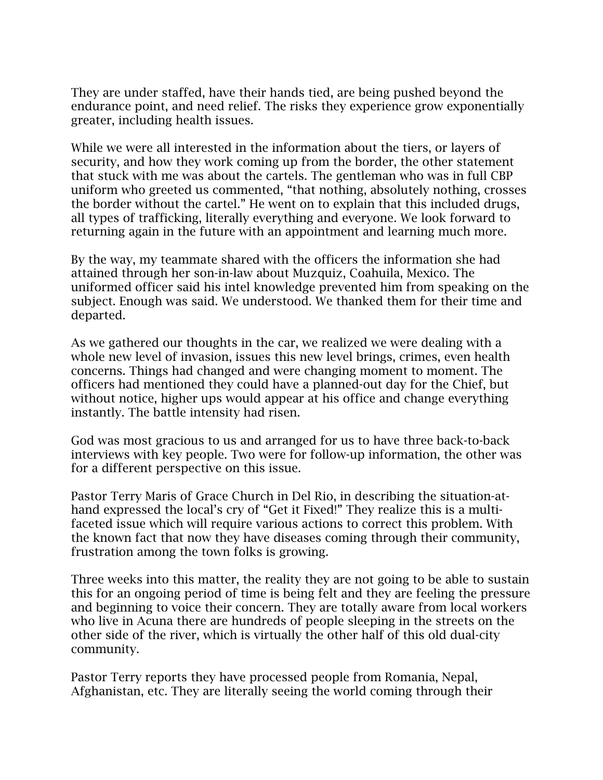They are under staffed, have their hands tied, are being pushed beyond the endurance point, and need relief. The risks they experience grow exponentially greater, including health issues.

While we were all interested in the information about the tiers, or layers of security, and how they work coming up from the border, the other statement that stuck with me was about the cartels. The gentleman who was in full CBP uniform who greeted us commented, "that nothing, absolutely nothing, crosses the border without the cartel." He went on to explain that this included drugs, all types of trafficking, literally everything and everyone. We look forward to returning again in the future with an appointment and learning much more.

By the way, my teammate shared with the officers the information she had attained through her son-in-law about Muzquiz, Coahuila, Mexico. The uniformed officer said his intel knowledge prevented him from speaking on the subject. Enough was said. We understood. We thanked them for their time and departed.

As we gathered our thoughts in the car, we realized we were dealing with a whole new level of invasion, issues this new level brings, crimes, even health concerns. Things had changed and were changing moment to moment. The officers had mentioned they could have a planned-out day for the Chief, but without notice, higher ups would appear at his office and change everything instantly. The battle intensity had risen.

God was most gracious to us and arranged for us to have three back-to-back interviews with key people. Two were for follow-up information, the other was for a different perspective on this issue.

Pastor Terry Maris of Grace Church in Del Rio, in describing the situation-athand expressed the local's cry of "Get it Fixed!" They realize this is a multifaceted issue which will require various actions to correct this problem. With the known fact that now they have diseases coming through their community, frustration among the town folks is growing.

Three weeks into this matter, the reality they are not going to be able to sustain this for an ongoing period of time is being felt and they are feeling the pressure and beginning to voice their concern. They are totally aware from local workers who live in Acuna there are hundreds of people sleeping in the streets on the other side of the river, which is virtually the other half of this old dual-city community.

Pastor Terry reports they have processed people from Romania, Nepal, Afghanistan, etc. They are literally seeing the world coming through their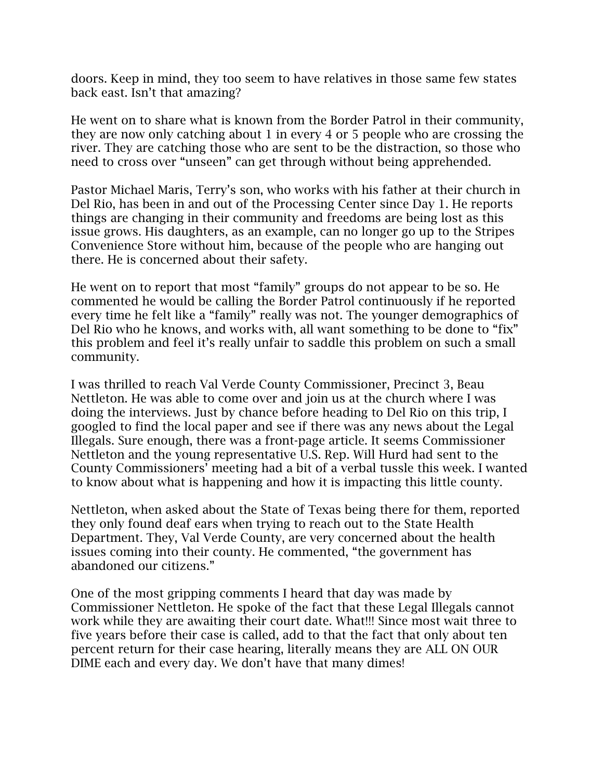doors. Keep in mind, they too seem to have relatives in those same few states back east. Isn't that amazing?

He went on to share what is known from the Border Patrol in their community, they are now only catching about 1 in every 4 or 5 people who are crossing the river. They are catching those who are sent to be the distraction, so those who need to cross over "unseen" can get through without being apprehended.

Pastor Michael Maris, Terry's son, who works with his father at their church in Del Rio, has been in and out of the Processing Center since Day 1. He reports things are changing in their community and freedoms are being lost as this issue grows. His daughters, as an example, can no longer go up to the Stripes Convenience Store without him, because of the people who are hanging out there. He is concerned about their safety.

He went on to report that most "family" groups do not appear to be so. He commented he would be calling the Border Patrol continuously if he reported every time he felt like a "family" really was not. The younger demographics of Del Rio who he knows, and works with, all want something to be done to "fix" this problem and feel it's really unfair to saddle this problem on such a small community.

I was thrilled to reach Val Verde County Commissioner, Precinct 3, Beau Nettleton. He was able to come over and join us at the church where I was doing the interviews. Just by chance before heading to Del Rio on this trip, I googled to find the local paper and see if there was any news about the Legal Illegals. Sure enough, there was a front-page article. It seems Commissioner Nettleton and the young representative U.S. Rep. Will Hurd had sent to the County Commissioners' meeting had a bit of a verbal tussle this week. I wanted to know about what is happening and how it is impacting this little county.

Nettleton, when asked about the State of Texas being there for them, reported they only found deaf ears when trying to reach out to the State Health Department. They, Val Verde County, are very concerned about the health issues coming into their county. He commented, "the government has abandoned our citizens."

One of the most gripping comments I heard that day was made by Commissioner Nettleton. He spoke of the fact that these Legal Illegals cannot work while they are awaiting their court date. What!!! Since most wait three to five years before their case is called, add to that the fact that only about ten percent return for their case hearing, literally means they are ALL ON OUR DIME each and every day. We don't have that many dimes!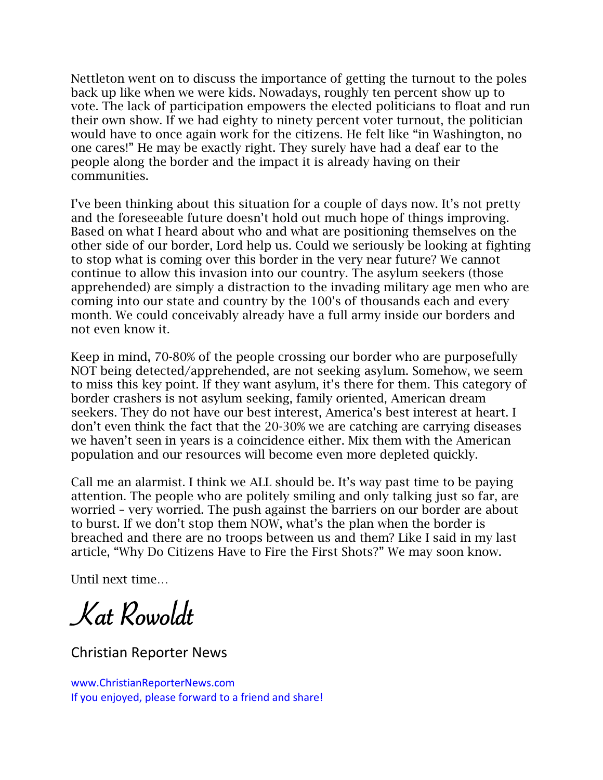Nettleton went on to discuss the importance of getting the turnout to the poles back up like when we were kids. Nowadays, roughly ten percent show up to vote. The lack of participation empowers the elected politicians to float and run their own show. If we had eighty to ninety percent voter turnout, the politician would have to once again work for the citizens. He felt like "in Washington, no one cares!" He may be exactly right. They surely have had a deaf ear to the people along the border and the impact it is already having on their communities.

I've been thinking about this situation for a couple of days now. It's not pretty and the foreseeable future doesn't hold out much hope of things improving. Based on what I heard about who and what are positioning themselves on the other side of our border, Lord help us. Could we seriously be looking at fighting to stop what is coming over this border in the very near future? We cannot continue to allow this invasion into our country. The asylum seekers (those apprehended) are simply a distraction to the invading military age men who are coming into our state and country by the 100's of thousands each and every month. We could conceivably already have a full army inside our borders and not even know it.

Keep in mind, 70-80% of the people crossing our border who are purposefully NOT being detected/apprehended, are not seeking asylum. Somehow, we seem to miss this key point. If they want asylum, it's there for them. This category of border crashers is not asylum seeking, family oriented, American dream seekers. They do not have our best interest, America's best interest at heart. I don't even think the fact that the 20-30% we are catching are carrying diseases we haven't seen in years is a coincidence either. Mix them with the American population and our resources will become even more depleted quickly.

Call me an alarmist. I think we ALL should be. It's way past time to be paying attention. The people who are politely smiling and only talking just so far, are worried – very worried. The push against the barriers on our border are about to burst. If we don't stop them NOW, what's the plan when the border is breached and there are no troops between us and them? Like I said in my last article, "Why Do Citizens Have to Fire the First Shots?" We may soon know.

Until next time…

Kat Rowoldt

Christian Reporter News www.ChristianReporterNews.com

If you enjoyed, please forward to a friend and share!